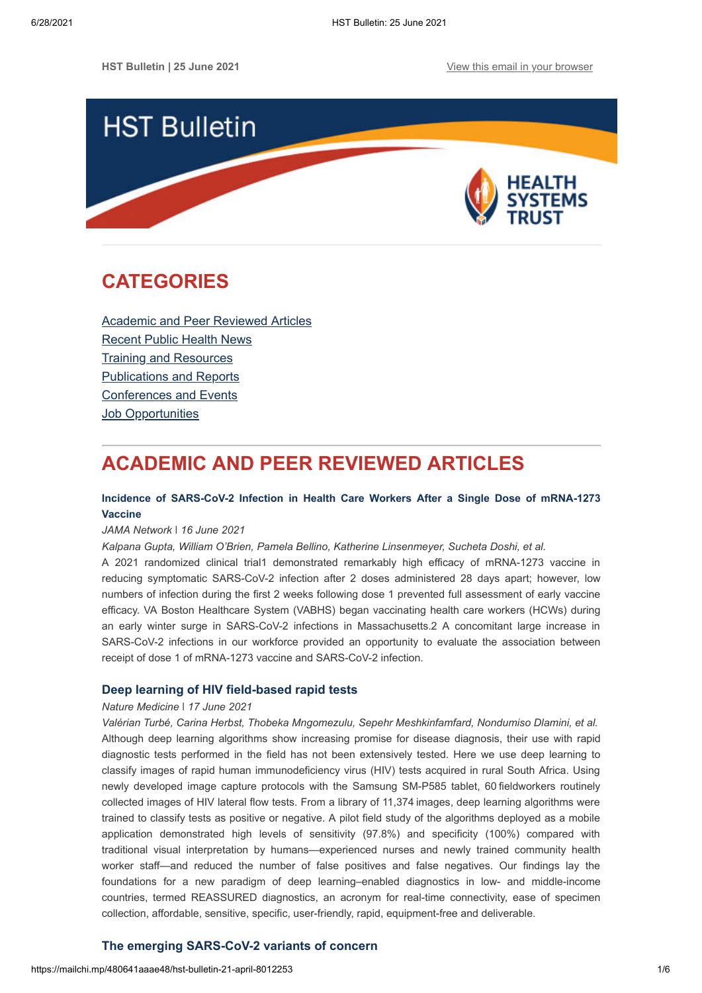

# <span id="page-0-1"></span>**CATEGORIES**

[Academic and Peer Reviewed Articles](#page-0-0) [Recent Public Health News](#page-1-0) Training and Resources [Publications and Reports](#page-4-0) [Conferences and Events](#page-4-1) **[Job Opportunities](#page-4-2)** 

# <span id="page-0-0"></span>**ACADEMIC AND PEER REVIEWED ARTICLES**

## **[Incidence of SARS-CoV-2 Infection in Health Care Workers After a Single Dose of mRNA-1273](https://jamanetwork.com/journals/jamanetworkopen/fullarticle/2781173?widget=personalizedcontent&previousarticle=187) Vaccine**

#### *JAMA Network* ǀ *16 June 2021*

*Kalpana Gupta, William O'Brien, Pamela Bellino, Katherine Linsenmeyer, Sucheta Doshi, et al.*

A 2021 randomized clinical trial1 demonstrated remarkably high efficacy of mRNA-1273 vaccine in reducing symptomatic SARS-CoV-2 infection after 2 doses administered 28 days apart; however, low numbers of infection during the first 2 weeks following dose 1 prevented full assessment of early vaccine efficacy. VA Boston Healthcare System (VABHS) began vaccinating health care workers (HCWs) during an early winter surge in SARS-CoV-2 infections in Massachusetts.2 A concomitant large increase in SARS-CoV-2 infections in our workforce provided an opportunity to evaluate the association between receipt of dose 1 of mRNA-1273 vaccine and SARS-CoV-2 infection.

## **[Deep learning of HIV field-based rapid tests](https://www.nature.com/articles/s41591-021-01384-9)**

## *Nature Medicine* ǀ *17 June 2021*

*Valérian Turbé, Carina Herbst, Thobeka Mngomezulu, Sepehr Meshkinfamfard, Nondumiso Dlamini, et al.* Although deep learning algorithms show increasing promise for disease diagnosis, their use with rapid diagnostic tests performed in the field has not been extensively tested. Here we use deep learning to classify images of rapid human immunodeficiency virus (HIV) tests acquired in rural South Africa. Using newly developed image capture protocols with the Samsung SM-P585 tablet, 60 fieldworkers routinely collected images of HIV lateral flow tests. From a library of 11,374 images, deep learning algorithms were trained to classify tests as positive or negative. A pilot field study of the algorithms deployed as a mobile application demonstrated high levels of sensitivity (97.8%) and specificity (100%) compared with traditional visual interpretation by humans—experienced nurses and newly trained community health worker staff—and reduced the number of false positives and false negatives. Our findings lay the foundations for a new paradigm of deep learning–enabled diagnostics in low- and middle-income countries, termed REASSURED diagnostics, an acronym for real-time connectivity, ease of specimen collection, affordable, sensitive, specific, user-friendly, rapid, equipment-free and deliverable.

## **[The emerging SARS-CoV-2 variants of concern](https://journals.sagepub.com/doi/full/10.1177/20499361211024372)**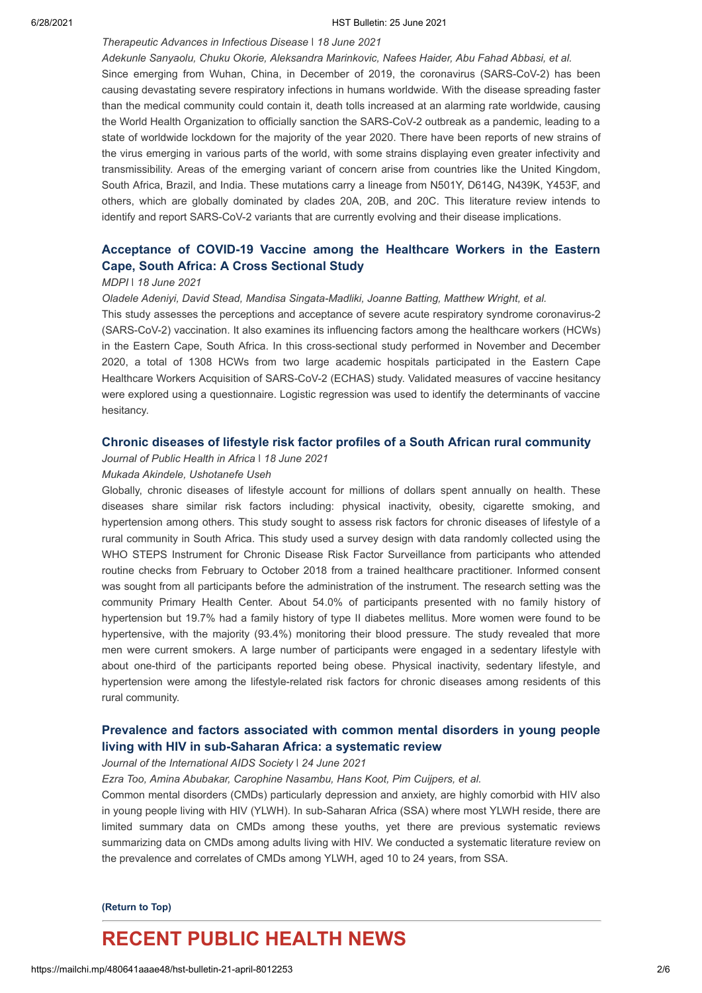#### 6/28/2021 HST Bulletin: 25 June 2021

## *Therapeutic Advances in Infectious Disease* ǀ *18 June 2021*

*Adekunle Sanyaolu, Chuku Okorie, Aleksandra Marinkovic, Nafees Haider, Abu Fahad Abbasi, et al.* Since emerging from Wuhan, China, in December of 2019, the coronavirus (SARS-CoV-2) has been causing devastating severe respiratory infections in humans worldwide. With the disease spreading faster than the medical community could contain it, death tolls increased at an alarming rate worldwide, causing the World Health Organization to officially sanction the SARS-CoV-2 outbreak as a pandemic, leading to a state of worldwide lockdown for the majority of the year 2020. There have been reports of new strains of the virus emerging in various parts of the world, with some strains displaying even greater infectivity and transmissibility. Areas of the emerging variant of concern arise from countries like the United Kingdom, South Africa, Brazil, and India. These mutations carry a lineage from N501Y, D614G, N439K, Y453F, and others, which are globally dominated by clades 20A, 20B, and 20C. This literature review intends to identify and report SARS-CoV-2 variants that are currently evolving and their disease implications.

## **[Acceptance of COVID-19 Vaccine among the Healthcare Workers in the Eastern](https://www.mdpi.com/2076-393X/9/6/666) Cape, South Africa: A Cross Sectional Study**

#### *MDPI ǀ 18 June 2021*

*Oladele Adeniyi, David Stead, Mandisa Singata-Madliki, Joanne Batting, Matthew Wright, et al.*

This study assesses the perceptions and acceptance of severe acute respiratory syndrome coronavirus-2 (SARS-CoV-2) vaccination. It also examines its influencing factors among the healthcare workers (HCWs) in the Eastern Cape, South Africa. In this cross-sectional study performed in November and December 2020, a total of 1308 HCWs from two large academic hospitals participated in the Eastern Cape Healthcare Workers Acquisition of SARS-CoV-2 (ECHAS) study. Validated measures of vaccine hesitancy were explored using a questionnaire. Logistic regression was used to identify the determinants of vaccine hesitancy.

## **[Chronic diseases of lifestyle risk factor profiles of a South African rural community](https://www.publichealthinafrica.org/index.php/jphia/article/view/1006)**

## *Journal of Public Health in Africa ǀ 18 June 2021*

## *Mukada Akindele, Ushotanefe Useh*

Globally, chronic diseases of lifestyle account for millions of dollars spent annually on health. These diseases share similar risk factors including: physical inactivity, obesity, cigarette smoking, and hypertension among others. This study sought to assess risk factors for chronic diseases of lifestyle of a rural community in South Africa. This study used a survey design with data randomly collected using the WHO STEPS Instrument for Chronic Disease Risk Factor Surveillance from participants who attended routine checks from February to October 2018 from a trained healthcare practitioner. Informed consent was sought from all participants before the administration of the instrument. The research setting was the community Primary Health Center. About 54.0% of participants presented with no family history of hypertension but 19.7% had a family history of type II diabetes mellitus. More women were found to be hypertensive, with the majority (93.4%) monitoring their blood pressure. The study revealed that more men were current smokers. A large number of participants were engaged in a sedentary lifestyle with about one-third of the participants reported being obese. Physical inactivity, sedentary lifestyle, and hypertension were among the lifestyle-related risk factors for chronic diseases among residents of this rural community.

## **[Prevalence and factors associated with common mental disorders in young people](https://onlinelibrary.wiley.com/doi/full/10.1002/jia2.25705) living with HIV in sub-Saharan Africa: a systematic review**

## *Journal of the International AIDS Society ǀ 24 June 2021*

*Ezra Too, Amina Abubakar, Carophine Nasambu, Hans Koot, Pim Cuijpers, et al.*

Common mental disorders (CMDs) particularly depression and anxiety, are highly comorbid with HIV also in young people living with HIV (YLWH). In sub-Saharan Africa (SSA) where most YLWH reside, there are limited summary data on CMDs among these youths, yet there are previous systematic reviews summarizing data on CMDs among adults living with HIV. We conducted a systematic literature review on the prevalence and correlates of CMDs among YLWH, aged 10 to 24 years, from SSA.

#### **[\(Return to Top\)](#page-0-1)**

## <span id="page-1-0"></span>**RECENT PUBLIC HEALTH NEWS**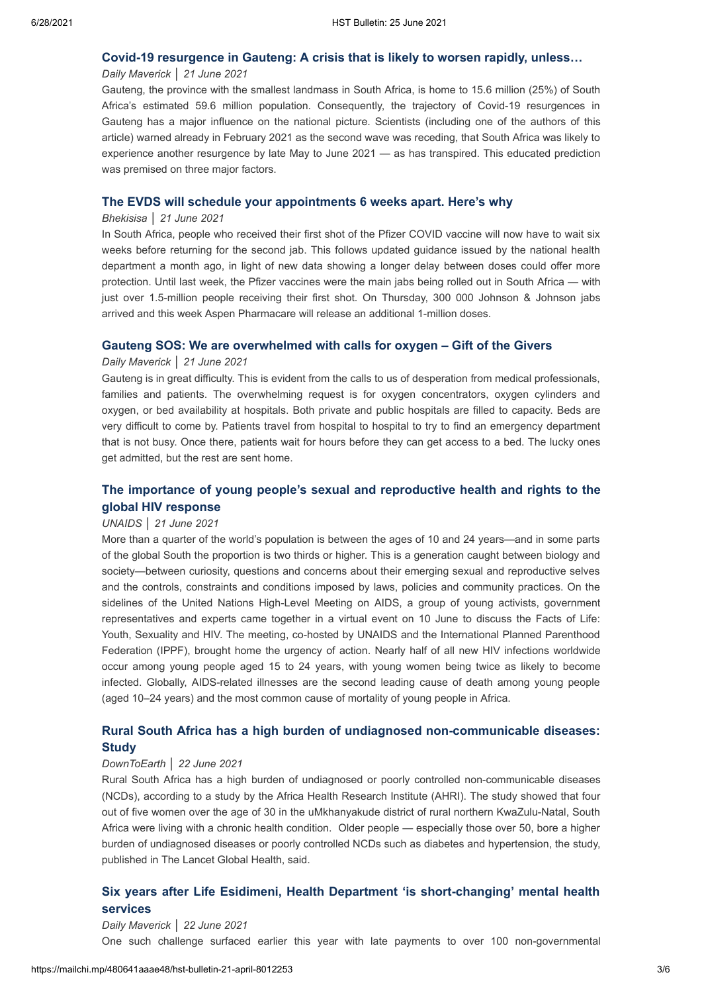## **[Covid-19 resurgence in Gauteng: A crisis that is likely to worsen rapidly, unless…](https://www.dailymaverick.co.za/article/2021-06-21-covid-19-resurgence-in-gauteng-a-crisis-that-is-likely-to-worsen-rapidly-unless/)**

## *Daily Maverick* │ *21 June 2021*

Gauteng, the province with the smallest landmass in South Africa, is home to 15.6 million (25%) of South Africa's estimated 59.6 million population. Consequently, the trajectory of Covid-19 resurgences in Gauteng has a major influence on the national picture. Scientists (including one of the authors of this article) warned already in February 2021 as the second wave was receding, that South Africa was likely to experience another resurgence by late May to June 2021 — as has transpired. This educated prediction was premised on three major factors.

## **[The EVDS will schedule your appointments 6 weeks apart. Here's why](https://bhekisisa.org/article/2021-06-21-the-evds-will-schedule-your-appointments-6-weeks-apart-heres-why/)**

#### *Bhekisisa* │ *21 June 2021*

In South Africa, people who received their first shot of the Pfizer COVID vaccine will now have to wait six weeks before returning for the second jab. This follows updated guidance issued by the national health department a month ago, in light of new data showing a longer delay between doses could offer more protection. Until last week, the Pfizer vaccines were the main jabs being rolled out in South Africa — with just over 1.5-million people receiving their first shot. On Thursday, 300 000 Johnson & Johnson jabs arrived and this week Aspen Pharmacare will release an additional 1-million doses.

## **[Gauteng SOS: We are overwhelmed with calls for oxygen – Gift of the Givers](https://www.dailymaverick.co.za/article/2021-06-21-gauteng-sos-we-are-overwhelmed-with-calls-for-oxygen-gift-of-the-givers/)**

#### *Daily Maverick* │ *21 June 2021*

Gauteng is in great difficulty. This is evident from the calls to us of desperation from medical professionals, families and patients. The overwhelming request is for oxygen concentrators, oxygen cylinders and oxygen, or bed availability at hospitals. Both private and public hospitals are filled to capacity. Beds are very difficult to come by. Patients travel from hospital to hospital to try to find an emergency department that is not busy. Once there, patients wait for hours before they can get access to a bed. The lucky ones get admitted, but the rest are sent home.

## **[The importance of young people's sexual and reproductive health and rights to the](https://www.unaids.org/en/resources/presscentre/featurestories/2021/june/20210621_HLM_yp_srhr) global HIV response**

### *UNAIDS │ 21 June 2021*

More than a quarter of the world's population is between the ages of 10 and 24 years—and in some parts of the global South the proportion is two thirds or higher. This is a generation caught between biology and society—between curiosity, questions and concerns about their emerging sexual and reproductive selves and the controls, constraints and conditions imposed by laws, policies and community practices. On the sidelines of the United Nations High-Level Meeting on AIDS, a group of young activists, government representatives and experts came together in a virtual event on 10 June to discuss the Facts of Life: Youth, Sexuality and HIV. The meeting, co-hosted by UNAIDS and the International Planned Parenthood Federation (IPPF), brought home the urgency of action. Nearly half of all new HIV infections worldwide occur among young people aged 15 to 24 years, with young women being twice as likely to become infected. Globally, AIDS-related illnesses are the second leading cause of death among young people (aged 10–24 years) and the most common cause of mortality of young people in Africa.

## **[Rural South Africa has a high burden of undiagnosed non-communicable diseases:](https://www.downtoearth.org.in/news/health/rural-south-africa-has-a-high-burden-of-undiagnosed-non-communicable-diseases-study-77589) Study**

#### *DownToEarth* │ *22 June 2021*

Rural South Africa has a high burden of undiagnosed or poorly controlled non-communicable diseases (NCDs), according to a study by the Africa Health Research Institute (AHRI). The study showed that four out of five women over the age of 30 in the uMkhanyakude district of rural northern KwaZulu-Natal, South Africa were living with a chronic health condition. Older people — especially those over 50, bore a higher burden of undiagnosed diseases or poorly controlled NCDs such as diabetes and hypertension, the study, published in The Lancet Global Health, said.

## **Six years after Life [Esidimeni, Health Department 'is short-changing' mental health](https://www.dailymaverick.co.za/article/2021-06-22-six-years-after-life-esidimeni-health-department-is-short-changing-mental-health-services/) services**

#### *Daily Maverick* │ *22 June 2021*

One such challenge surfaced earlier this year with late payments to over 100 non-governmental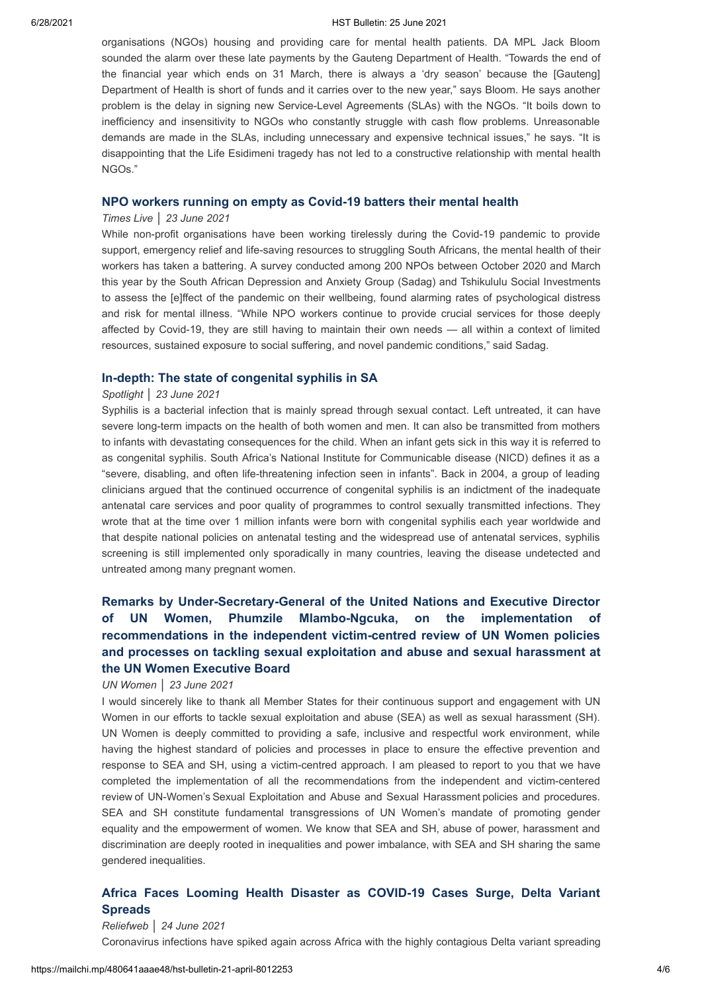#### 6/28/2021 HST Bulletin: 25 June 2021

organisations (NGOs) housing and providing care for mental health patients. DA MPL Jack Bloom sounded the alarm over these late payments by the Gauteng Department of Health. "Towards the end of the financial year which ends on 31 March, there is always a 'dry season' because the [Gauteng] Department of Health is short of funds and it carries over to the new year," says Bloom. He says another problem is the delay in signing new Service-Level Agreements (SLAs) with the NGOs. "It boils down to inefficiency and insensitivity to NGOs who constantly struggle with cash flow problems. Unreasonable demands are made in the SLAs, including unnecessary and expensive technical issues," he says. "It is disappointing that the Life Esidimeni tragedy has not led to a constructive relationship with mental health NGOs."

## **[NPO workers running on empty as Covid-19 batters their mental health](https://www.timeslive.co.za/news/south-africa/2021-06-23-npo-workers-running-on-empty-as-covid-19-batters-their-mental-health/)**

#### *Times Live* │ *23 June 2021*

While non-profit organisations have been working tirelessly during the Covid-19 pandemic to provide support, emergency relief and life-saving resources to struggling South Africans, the mental health of their workers has taken a battering. A survey conducted among 200 NPOs between October 2020 and March this year by the South African Depression and Anxiety Group (Sadag) and Tshikululu Social Investments to assess the [e]ffect of the pandemic on their wellbeing, found alarming rates of psychological distress and risk for mental illness. "While NPO workers continue to provide crucial services for those deeply affected by Covid-19, they are still having to maintain their own needs — all within a context of limited resources, sustained exposure to social suffering, and novel pandemic conditions," said Sadag.

#### **[In-depth: The state of congenital syphilis in SA](https://www.spotlightnsp.co.za/2021/06/23/in-depth-the-state-of-congenital-syphilis-in-sa/)**

#### *Spotlight* │ *23 June 2021*

Syphilis is a bacterial infection that is mainly spread through sexual contact. Left untreated, it can have severe long-term impacts on the health of both women and men. It can also be transmitted from mothers to infants with devastating consequences for the child. When an infant gets sick in this way it is referred to as congenital syphilis. South Africa's National Institute for Communicable disease (NICD) defines it as a "severe, disabling, and often life-threatening infection seen in infants". Back in 2004, a group of leading clinicians argued that the continued occurrence of congenital syphilis is an indictment of the inadequate antenatal care services and poor quality of programmes to control sexually transmitted infections. They wrote that at the time over 1 million infants were born with congenital syphilis each year worldwide and that despite national policies on antenatal testing and the widespread use of antenatal services, syphilis screening is still implemented only sporadically in many countries, leaving the disease undetected and untreated among many pregnant women.

## **Remarks by Under-Secretary-General of the United Nations and Executive Director** of UN Women, Phumzile Mlambo-Ngcuka, on the implementation **recommendations in the independent victim-centred review of UN Women policies and processes on tackling sexual exploitation and abuse and sexual harassment at the UN Women Executive Board**

#### *UN Women │ 23 June 2021*

I would sincerely like to thank all Member States for their continuous support and engagement with UN Women in our efforts to tackle sexual exploitation and abuse (SEA) as well as sexual harassment (SH). UN Women is deeply committed to providing a safe, inclusive and respectful work environment, while having the highest standard of policies and processes in place to ensure the effective prevention and response to SEA and SH, using a victim-centred approach. I am pleased to report to you that we have completed the implementation of all the recommendations from the independent and victim-centered review of UN-Women's Sexual Exploitation and Abuse and Sexual Harassment policies and procedures. SEA and SH constitute fundamental transgressions of UN Women's mandate of promoting gender equality and the empowerment of women. We know that SEA and SH, abuse of power, harassment and discrimination are deeply rooted in inequalities and power imbalance, with SEA and SH sharing the same gendered inequalities.

## **[Africa Faces Looming Health Disaster as COVID-19 Cases Surge, Delta Variant](https://reliefweb.int/report/world/africa-faces-looming-health-disaster-covid-19-cases-surge-delta-variant-spreads) Spreads**

#### *Reliefweb │ 24 June 2021*

Coronavirus infections have spiked again across Africa with the highly contagious Delta variant spreading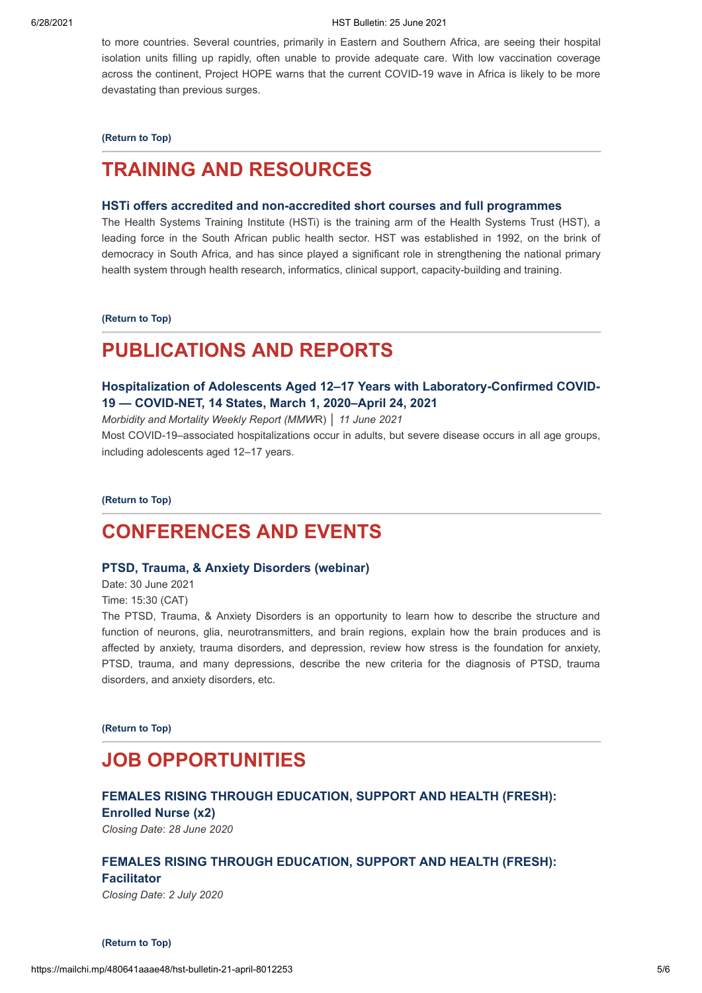to more countries. Several countries, primarily in Eastern and Southern Africa, are seeing their hospital isolation units filling up rapidly, often unable to provide adequate care. With low vaccination coverage across the continent, Project HOPE warns that the current COVID-19 wave in Africa is likely to be more devastating than previous surges.

**[\(Return to Top\)](#page-0-1)**

# <span id="page-4-0"></span>**TRAINING AND RESOURCES**

## **[HSTi offers accredited and non-accredited short courses and full programmes](https://www.hstinstitute.co.za/Training)**

The Health Systems Training Institute (HSTi) is the training arm of the Health Systems Trust (HST), a leading force in the South African public health sector. HST was established in 1992, on the brink of democracy in South Africa, and has since played a significant role in strengthening the national primary health system through health research, informatics, clinical support, capacity-building and training.

**[\(Return to Top\)](#page-0-1)**

# **PUBLICATIONS AND REPORTS**

## **[Hospitalization of Adolescents Aged 12–17 Years with Laboratory-Confirmed COVID-](https://www.cdc.gov/mmwr/volumes/70/wr/mm7023e1.htm?s_cid=mm7023e1_w)19 — COVID-NET, 14 States, March 1, 2020–April 24, 2021**

*Morbidity and Mortality Weekly Report (MMW*R) │ *11 June 2021* Most COVID-19–associated hospitalizations occur in adults, but severe disease occurs in all age groups, including adolescents aged 12–17 years.

**[\(Return to Top\)](#page-0-1)**

# <span id="page-4-1"></span>**CONFERENCES AND EVENTS**

### **[PTSD, Trauma, & Anxiety Disorders \(webinar\)](https://10times.com/ptsd-trauma-anxiety-disorders?utm_source=newsletter1&utm_medium=email&utm_campaign=2021-06-22&utm_term=event_name_incomplete&utm_content=aroundMe)**

Date: 30 June 2021 Time: 15:30 (CAT)

The PTSD, Trauma, & Anxiety Disorders is an opportunity to learn how to describe the structure and function of neurons, glia, neurotransmitters, and brain regions, explain how the brain produces and is affected by anxiety, trauma disorders, and depression, review how stress is the foundation for anxiety, PTSD, trauma, and many depressions, describe the new criteria for the diagnosis of PTSD, trauma disorders, and anxiety disorders, etc.

**[\(Return to Top\)](#page-0-1)**

# <span id="page-4-2"></span>**JOB OPPORTUNITIES**

## **[FEMALES RISING THROUGH EDUCATION, SUPPORT AND HEALTH \(FRESH\):](https://www.hst.org.za/Pages/Females-Rising-through-Education,-Support-and-Health-(FRESH)-Enrolled-Nurse.aspx) Enrolled Nurse (x2)**

*Closing Date*: *28 June 2020*

## **[FEMALES RISING THROUGH EDUCATION, SUPPORT AND HEALTH \(FRESH\):](https://www.hst.org.za/Pages/Females-Rising-through-Education-Support-and-Health-(FRESH).aspx)**

## **Facilitator**

*Closing Date*: *2 July 2020*

**[\(Return to Top\)](#page-0-1)**